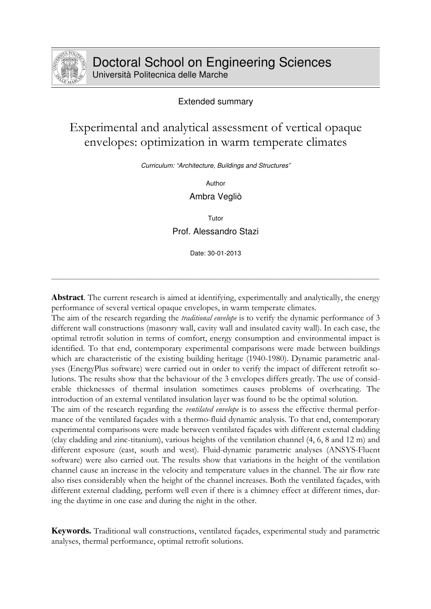

## Extended summary

# Experimental and analytical assessment of vertical opaque envelopes: optimization in warm temperate climates

Curriculum: "Architecture, Buildings and Structures"

Author

Ambra Vegliò

Tutor Prof. Alessandro Stazi

Date: 30-01-2013

**Abstract**. The current research is aimed at identifying, experimentally and analytically, the energy performance of several vertical opaque envelopes, in warm temperate climates.

\_\_\_\_\_\_\_\_\_\_\_\_\_\_\_\_\_\_\_\_\_\_\_\_\_\_\_\_\_\_\_\_\_\_\_\_\_\_\_\_\_\_\_\_\_\_\_\_\_\_\_\_\_\_\_\_\_\_\_\_\_\_\_\_\_\_\_\_\_\_\_\_\_\_\_\_\_\_\_\_\_\_\_\_\_\_\_\_\_\_\_\_\_\_\_\_\_\_\_\_\_\_\_\_\_\_\_\_\_\_\_

The aim of the research regarding the *traditional envelope* is to verify the dynamic performance of 3 different wall constructions (masonry wall, cavity wall and insulated cavity wall). In each case, the optimal retrofit solution in terms of comfort, energy consumption and environmental impact is identified. To that end, contemporary experimental comparisons were made between buildings which are characteristic of the existing building heritage (1940-1980). Dynamic parametric analyses (EnergyPlus software) were carried out in order to verify the impact of different retrofit solutions. The results show that the behaviour of the 3 envelopes differs greatly. The use of considerable thicknesses of thermal insulation sometimes causes problems of overheating. The introduction of an external ventilated insulation layer was found to be the optimal solution.

The aim of the research regarding the *ventilated envelope* is to assess the effective thermal performance of the ventilated façades with a thermo-fluid dynamic analysis. To that end, contemporary experimental comparisons were made between ventilated façades with different external cladding (clay cladding and zinc-titanium), various heights of the ventilation channel (4, 6, 8 and 12 m) and different exposure (east, south and west). Fluid-dynamic parametric analyses (ANSYS-Fluent software) were also carried out. The results show that variations in the height of the ventilation channel cause an increase in the velocity and temperature values in the channel. The air flow rate also rises considerably when the height of the channel increases. Both the ventilated façades, with different external cladding, perform well even if there is a chimney effect at different times, during the daytime in one case and during the night in the other.

**Keywords.** Traditional wall constructions, ventilated façades, experimental study and parametric analyses, thermal performance, optimal retrofit solutions.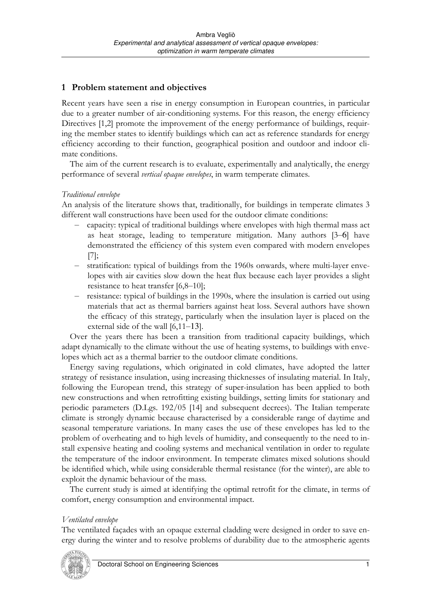## 1 Problem statement and objectives

Recent years have seen a rise in energy consumption in European countries, in particular due to a greater number of air-conditioning systems. For this reason, the energy efficiency Directives [1,2] promote the improvement of the energy performance of buildings, requiring the member states to identify buildings which can act as reference standards for energy efficiency according to their function, geographical position and outdoor and indoor climate conditions.

The aim of the current research is to evaluate, experimentally and analytically, the energy performance of several vertical opaque envelopes, in warm temperate climates.

#### Traditional envelope

An analysis of the literature shows that, traditionally, for buildings in temperate climates 3 different wall constructions have been used for the outdoor climate conditions:

- ‒ capacity: typical of traditional buildings where envelopes with high thermal mass act as heat storage, leading to temperature mitigation. Many authors [3‒6] have demonstrated the efficiency of this system even compared with modern envelopes [7];
- ‒ stratification: typical of buildings from the 1960s onwards, where multi-layer envelopes with air cavities slow down the heat flux because each layer provides a slight resistance to heat transfer [6,8-10];
- ‒ resistance: typical of buildings in the 1990s, where the insulation is carried out using materials that act as thermal barriers against heat loss. Several authors have shown the efficacy of this strategy, particularly when the insulation layer is placed on the external side of the wall  $[6,11-13]$ .

Over the years there has been a transition from traditional capacity buildings, which adapt dynamically to the climate without the use of heating systems, to buildings with envelopes which act as a thermal barrier to the outdoor climate conditions.

Energy saving regulations, which originated in cold climates, have adopted the latter strategy of resistance insulation, using increasing thicknesses of insulating material. In Italy, following the European trend, this strategy of super-insulation has been applied to both new constructions and when retrofitting existing buildings, setting limits for stationary and periodic parameters (D.Lgs. 192/05 [14] and subsequent decrees). The Italian temperate climate is strongly dynamic because characterised by a considerable range of daytime and seasonal temperature variations. In many cases the use of these envelopes has led to the problem of overheating and to high levels of humidity, and consequently to the need to install expensive heating and cooling systems and mechanical ventilation in order to regulate the temperature of the indoor environment. In temperate climates mixed solutions should be identified which, while using considerable thermal resistance (for the winter), are able to exploit the dynamic behaviour of the mass.

The current study is aimed at identifying the optimal retrofit for the climate, in terms of comfort, energy consumption and environmental impact.

## Ventilated envelope

The ventilated façades with an opaque external cladding were designed in order to save energy during the winter and to resolve problems of durability due to the atmospheric agents

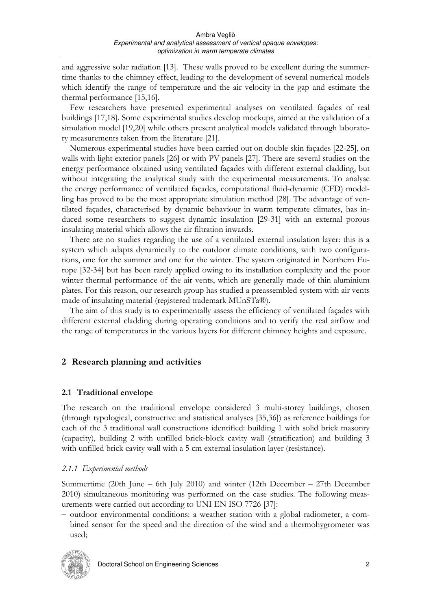and aggressive solar radiation [13]. These walls proved to be excellent during the summertime thanks to the chimney effect, leading to the development of several numerical models which identify the range of temperature and the air velocity in the gap and estimate the thermal performance [15,16].

Few researchers have presented experimental analyses on ventilated façades of real buildings [17,18]. Some experimental studies develop mockups, aimed at the validation of a simulation model [19,20] while others present analytical models validated through laboratory measurements taken from the literature [21].

Numerous experimental studies have been carried out on double skin façades [22-25], on walls with light exterior panels [26] or with PV panels [27]. There are several studies on the energy performance obtained using ventilated façades with different external cladding, but without integrating the analytical study with the experimental measurements. To analyse the energy performance of ventilated façades, computational fluid-dynamic (CFD) modelling has proved to be the most appropriate simulation method [28]. The advantage of ventilated façades, characterised by dynamic behaviour in warm temperate climates, has induced some researchers to suggest dynamic insulation [29-31] with an external porous insulating material which allows the air filtration inwards.

There are no studies regarding the use of a ventilated external insulation layer: this is a system which adapts dynamically to the outdoor climate conditions, with two configurations, one for the summer and one for the winter. The system originated in Northern Europe [32-34] but has been rarely applied owing to its installation complexity and the poor winter thermal performance of the air vents, which are generally made of thin aluminium plates. For this reason, our research group has studied a preassembled system with air vents made of insulating material (registered trademark MUnSTa®).

The aim of this study is to experimentally assess the efficiency of ventilated façades with different external cladding during operating conditions and to verify the real airflow and the range of temperatures in the various layers for different chimney heights and exposure.

## 2 Research planning and activities

## 2.1 Traditional envelope

The research on the traditional envelope considered 3 multi-storey buildings, chosen (through typological, constructive and statistical analyses [35,36]) as reference buildings for each of the 3 traditional wall constructions identified: building 1 with solid brick masonry (capacity), building 2 with unfilled brick-block cavity wall (stratification) and building 3 with unfilled brick cavity wall with a 5 cm external insulation layer (resistance).

## 2.1.1 Experimental methods

Summertime (20th June – 6th July 2010) and winter (12th December – 27th December 2010) simultaneous monitoring was performed on the case studies. The following measurements were carried out according to UNI EN ISO 7726 [37]:

‒ outdoor environmental conditions: a weather station with a global radiometer, a combined sensor for the speed and the direction of the wind and a thermohygrometer was used;

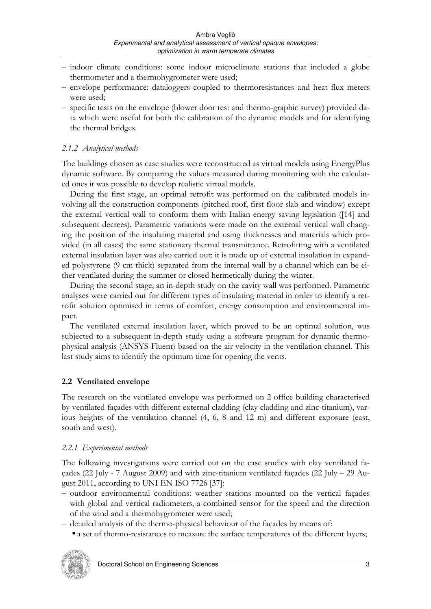- ‒ indoor climate conditions: some indoor microclimate stations that included a globe thermometer and a thermohygrometer were used;
- ‒ envelope performance: dataloggers coupled to thermoresistances and heat flux meters were used;
- ‒ specific tests on the envelope (blower door test and thermo-graphic survey) provided data which were useful for both the calibration of the dynamic models and for identifying the thermal bridges.

### 2.1.2 Analytical methods

The buildings chosen as case studies were reconstructed as virtual models using EnergyPlus dynamic software. By comparing the values measured during monitoring with the calculated ones it was possible to develop realistic virtual models.

During the first stage, an optimal retrofit was performed on the calibrated models involving all the construction components (pitched roof, first floor slab and window) except the external vertical wall to conform them with Italian energy saving legislation ([14] and subsequent decrees). Parametric variations were made on the external vertical wall changing the position of the insulating material and using thicknesses and materials which provided (in all cases) the same stationary thermal transmittance. Retrofitting with a ventilated external insulation layer was also carried out: it is made up of external insulation in expanded polystyrene (9 cm thick) separated from the internal wall by a channel which can be either ventilated during the summer or closed hermetically during the winter.

During the second stage, an in-depth study on the cavity wall was performed. Parametric analyses were carried out for different types of insulating material in order to identify a retrofit solution optimised in terms of comfort, energy consumption and environmental impact.

The ventilated external insulation layer, which proved to be an optimal solution, was subjected to a subsequent in-depth study using a software program for dynamic thermophysical analysis (ANSYS-Fluent) based on the air velocity in the ventilation channel. This last study aims to identify the optimum time for opening the vents.

## 2.2 Ventilated envelope

The research on the ventilated envelope was performed on 2 office building characterised by ventilated façades with different external cladding (clay cladding and zinc-titanium), various heights of the ventilation channel (4, 6, 8 and 12 m) and different exposure (east, south and west).

#### 2.2.1 Experimental methods

The following investigations were carried out on the case studies with clay ventilated facades (22 July - 7 August 2009) and with zinc-titanium ventilated facades (22 July - 29 August 2011, according to UNI EN ISO 7726 [37]:

- ‒ outdoor environmental conditions: weather stations mounted on the vertical façades with global and vertical radiometers, a combined sensor for the speed and the direction of the wind and a thermohygrometer were used;
- ‒ detailed analysis of the thermo-physical behaviour of the façades by means of:
	- a set of thermo-resistances to measure the surface temperatures of the different layers;

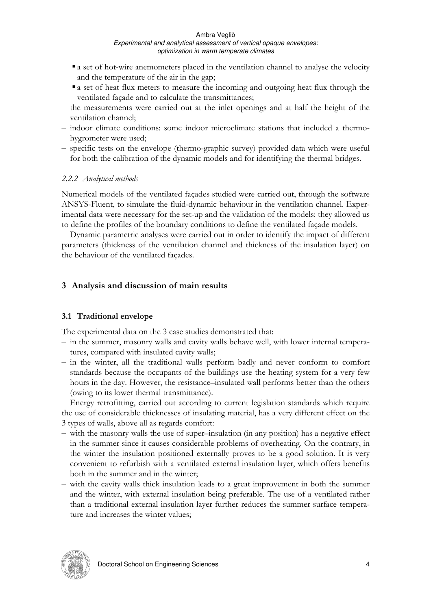- a set of hot-wire anemometers placed in the ventilation channel to analyse the velocity and the temperature of the air in the gap;
- a set of heat flux meters to measure the incoming and outgoing heat flux through the ventilated façade and to calculate the transmittances;

the measurements were carried out at the inlet openings and at half the height of the ventilation channel;

- ‒ indoor climate conditions: some indoor microclimate stations that included a thermohygrometer were used;
- ‒ specific tests on the envelope (thermo-graphic survey) provided data which were useful for both the calibration of the dynamic models and for identifying the thermal bridges.

## 2.2.2 Analytical methods

Numerical models of the ventilated façades studied were carried out, through the software ANSYS-Fluent, to simulate the fluid-dynamic behaviour in the ventilation channel. Experimental data were necessary for the set-up and the validation of the models: they allowed us to define the profiles of the boundary conditions to define the ventilated façade models.

Dynamic parametric analyses were carried out in order to identify the impact of different parameters (thickness of the ventilation channel and thickness of the insulation layer) on the behaviour of the ventilated façades.

## 3 Analysis and discussion of main results

## 3.1 Traditional envelope

The experimental data on the 3 case studies demonstrated that:

- ‒ in the summer, masonry walls and cavity walls behave well, with lower internal temperatures, compared with insulated cavity walls;
- ‒ in the winter, all the traditional walls perform badly and never conform to comfort standards because the occupants of the buildings use the heating system for a very few hours in the day. However, the resistance–insulated wall performs better than the others (owing to its lower thermal transmittance).

Energy retrofitting, carried out according to current legislation standards which require the use of considerable thicknesses of insulating material, has a very different effect on the 3 types of walls, above all as regards comfort:

- ‒ with the masonry walls the use of super–insulation (in any position) has a negative effect in the summer since it causes considerable problems of overheating. On the contrary, in the winter the insulation positioned externally proves to be a good solution. It is very convenient to refurbish with a ventilated external insulation layer, which offers benefits both in the summer and in the winter;
- ‒ with the cavity walls thick insulation leads to a great improvement in both the summer and the winter, with external insulation being preferable. The use of a ventilated rather than a traditional external insulation layer further reduces the summer surface temperature and increases the winter values;

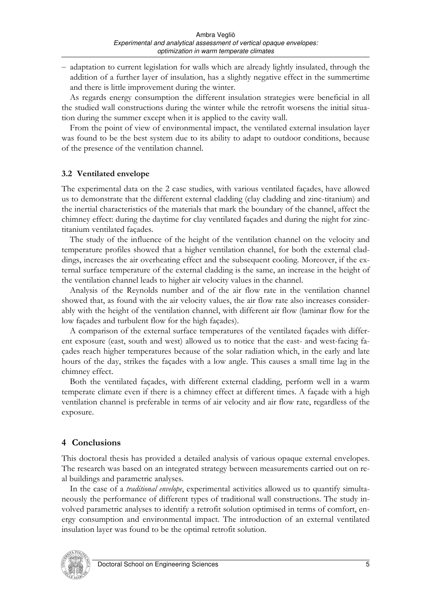‒ adaptation to current legislation for walls which are already lightly insulated, through the addition of a further layer of insulation, has a slightly negative effect in the summertime and there is little improvement during the winter.

As regards energy consumption the different insulation strategies were beneficial in all the studied wall constructions during the winter while the retrofit worsens the initial situation during the summer except when it is applied to the cavity wall.

From the point of view of environmental impact, the ventilated external insulation layer was found to be the best system due to its ability to adapt to outdoor conditions, because of the presence of the ventilation channel.

## 3.2 Ventilated envelope

The experimental data on the 2 case studies, with various ventilated façades, have allowed us to demonstrate that the different external cladding (clay cladding and zinc-titanium) and the inertial characteristics of the materials that mark the boundary of the channel, affect the chimney effect: during the daytime for clay ventilated façades and during the night for zinctitanium ventilated façades.

The study of the influence of the height of the ventilation channel on the velocity and temperature profiles showed that a higher ventilation channel, for both the external claddings, increases the air overheating effect and the subsequent cooling. Moreover, if the external surface temperature of the external cladding is the same, an increase in the height of the ventilation channel leads to higher air velocity values in the channel.

Analysis of the Reynolds number and of the air flow rate in the ventilation channel showed that, as found with the air velocity values, the air flow rate also increases considerably with the height of the ventilation channel, with different air flow (laminar flow for the low façades and turbulent flow for the high façades).

A comparison of the external surface temperatures of the ventilated façades with different exposure (east, south and west) allowed us to notice that the east- and west-facing façades reach higher temperatures because of the solar radiation which, in the early and late hours of the day, strikes the façades with a low angle. This causes a small time lag in the chimney effect.

Both the ventilated façades, with different external cladding, perform well in a warm temperate climate even if there is a chimney effect at different times. A façade with a high ventilation channel is preferable in terms of air velocity and air flow rate, regardless of the exposure.

# 4 Conclusions

This doctoral thesis has provided a detailed analysis of various opaque external envelopes. The research was based on an integrated strategy between measurements carried out on real buildings and parametric analyses.

In the case of a traditional envelope, experimental activities allowed us to quantify simultaneously the performance of different types of traditional wall constructions. The study involved parametric analyses to identify a retrofit solution optimised in terms of comfort, energy consumption and environmental impact. The introduction of an external ventilated insulation layer was found to be the optimal retrofit solution.

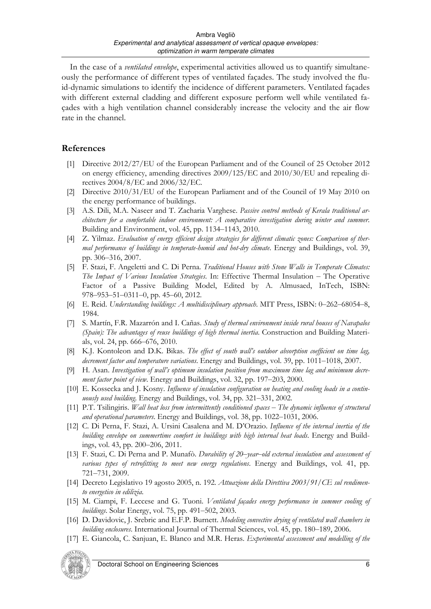In the case of a ventilated envelope, experimental activities allowed us to quantify simultaneously the performance of different types of ventilated façades. The study involved the fluid-dynamic simulations to identify the incidence of different parameters. Ventilated façades with different external cladding and different exposure perform well while ventilated façades with a high ventilation channel considerably increase the velocity and the air flow rate in the channel.

## References

- [1] Directive 2012/27/EU of the European Parliament and of the Council of 25 October 2012 on energy efficiency, amending directives 2009/125/EC and 2010/30/EU and repealing directives 2004/8/EC and 2006/32/EC.
- [2] Directive 2010/31/EU of the European Parliament and of the Council of 19 May 2010 on the energy performance of buildings.
- [3] A.S. Dili, M.A. Naseer and T. Zacharia Varghese. Passive control methods of Kerala traditional architecture for a comfortable indoor environment: A comparative investigation during winter and summer. Building and Environment, vol. 45, pp. 1134–1143, 2010.
- [4] Z. Yilmaz. Evaluation of energy efficient design strategies for different climatic zones: Comparison of thermal performance of buildings in temperate-humid and hot-dry climate. Energy and Buildings, vol. 39, pp. 306‒316, 2007.
- [5] F. Stazi, F. Angeletti and C. Di Perna. Traditional Houses with Stone Walls in Temperate Climates: The Impact of Various Insulation Strategies. In: Effective Thermal Insulation – The Operative Factor of a Passive Building Model, Edited by A. Almusaed, InTech, ISBN: 978-953-51-0311-0, pp. 45-60, 2012.
- [6] E. Reid. Understanding buildings: A multidisciplinary approach. MIT Press, ISBN: 0-262-68054-8, 1984.
- [7] S. Martín, F.R. Mazarrón and I. Cañas. Study of thermal environment inside rural houses of Navapalos (Spain): The advantages of reuse buildings of high thermal inertia. Construction and Building Materials, vol. 24, pp. 666‒676, 2010.
- [8] K.J. Kontoleon and D.K. Bikas. The effect of south wall's outdoor absorption coefficient on time lag, decrement factor and temperature variations. Energy and Buildings, vol. 39, pp. 1011–1018, 2007.
- [9] H. Asan. Investigation of wall's optimum insulation position from maximum time lag and minimum decrement factor point of view. Energy and Buildings, vol. 32, pp. 197–203, 2000.
- [10] E. Kossecka and J. Kosny. Influence of insulation configuration on heating and cooling loads in a continuously used building. Energy and Buildings, vol. 34, pp. 321–331, 2002.
- [11] P.T. Tsilingiris. Wall heat loss from intermittently conditioned spaces The dynamic influence of structural and operational parameters. Energy and Buildings, vol. 38, pp. 1022-1031, 2006.
- [12] C. Di Perna, F. Stazi, A. Ursini Casalena and M. D'Orazio. Influence of the internal inertia of the building envelope on summertime comfort in buildings with high internal heat loads. Energy and Buildings, vol. 43, pp. 200‒206, 2011.
- [13] F. Stazi, C. Di Perna and P. Munafò. *Durability of 20*-year-old external insulation and assessment of various types of retrofitting to meet new energy regulations. Energy and Buildings, vol. 41, pp. 721‒731, 2009.
- [14] Decreto Legislativo 19 agosto 2005, n. 192. Attuazione della Direttiva 2003/91/CE sul rendimento energetico in edilizia.
- [15] M. Ciampi, F. Leccese and G. Tuoni. Ventilated façades energy performance in summer cooling of buildings. Solar Energy, vol. 75, pp. 491–502, 2003.
- [16] D. Davidovic, J. Srebric and E.F.P. Burnett. Modeling convective drying of ventilated wall chambers in building enclosures. International Journal of Thermal Sciences, vol. 45, pp. 180–189, 2006.
- [17] E. Giancola, C. Sanjuan, E. Blanco and M.R. Heras. Experimental assessment and modelling of the